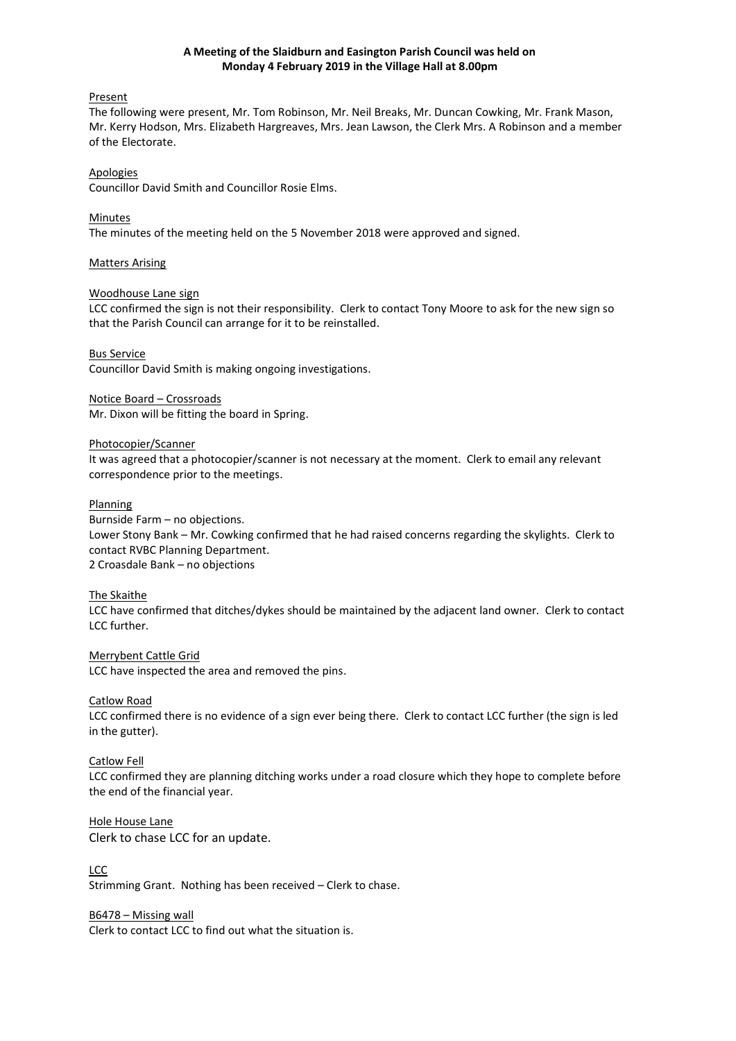### **A Meeting of the Slaidburn and Easington Parish Council was held on Monday 4 February 2019 in the Village Hall at 8.00pm**

### Present

The following were present, Mr. Tom Robinson, Mr. Neil Breaks, Mr. Duncan Cowking, Mr. Frank Mason, Mr. Kerry Hodson, Mrs. Elizabeth Hargreaves, Mrs. Jean Lawson, the Clerk Mrs. A Robinson and a member of the Electorate.

### Apologies

Councillor David Smith and Councillor Rosie Elms.

### Minutes

The minutes of the meeting held on the 5 November 2018 were approved and signed.

### Matters Arising

### Woodhouse Lane sign

LCC confirmed the sign is not their responsibility. Clerk to contact Tony Moore to ask for the new sign so that the Parish Council can arrange for it to be reinstalled.

#### Bus Service

Councillor David Smith is making ongoing investigations.

### Notice Board – Crossroads Mr. Dixon will be fitting the board in Spring.

### Photocopier/Scanner

It was agreed that a photocopier/scanner is not necessary at the moment. Clerk to email any relevant correspondence prior to the meetings.

### **Planning**

Burnside Farm – no objections. Lower Stony Bank – Mr. Cowking confirmed that he had raised concerns regarding the skylights. Clerk to contact RVBC Planning Department. 2 Croasdale Bank – no objections

#### The Skaithe

LCC have confirmed that ditches/dykes should be maintained by the adjacent land owner. Clerk to contact LCC further.

# Merrybent Cattle Grid

LCC have inspected the area and removed the pins.

#### Catlow Road

LCC confirmed there is no evidence of a sign ever being there. Clerk to contact LCC further (the sign is led in the gutter).

### Catlow Fell

LCC confirmed they are planning ditching works under a road closure which they hope to complete before the end of the financial year.

#### Hole House Lane

Clerk to chase LCC for an update.

# LCC

Strimming Grant. Nothing has been received – Clerk to chase.

#### B6478 – Missing wall

Clerk to contact LCC to find out what the situation is.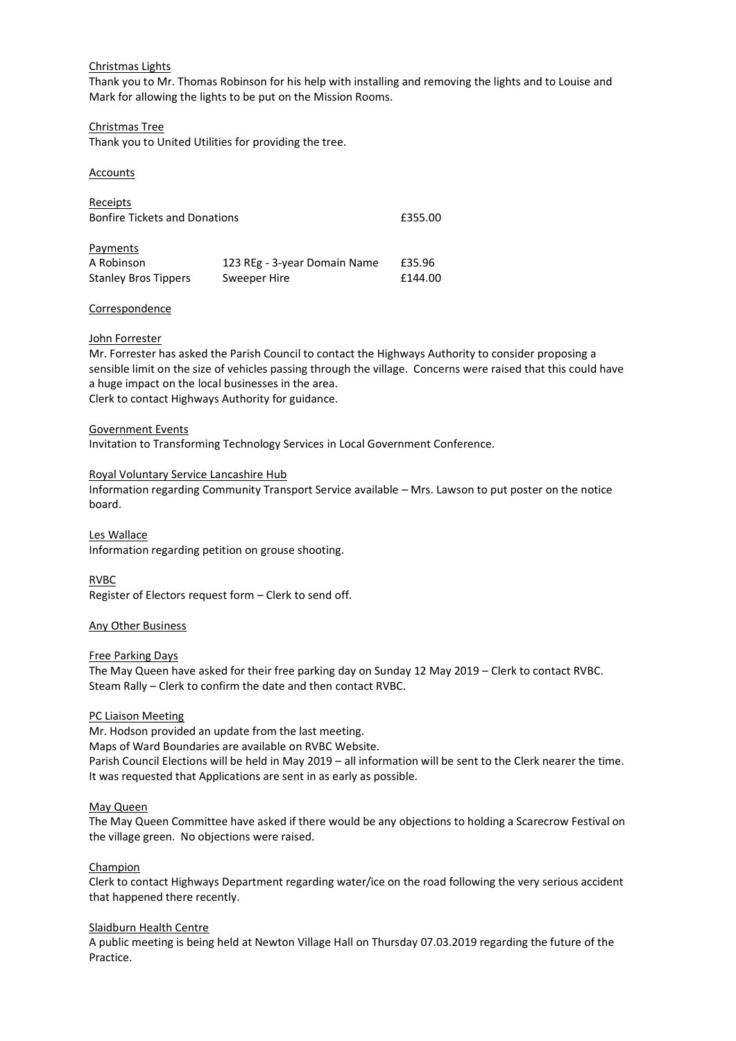### Christmas Lights

Thank you to Mr. Thomas Robinson for his help with installing and removing the lights and to Louise and Mark for allowing the lights to be put on the Mission Rooms.

### Christmas Tree

Thank you to United Utilities for providing the tree.

### Accounts

| Receipts<br><b>Bonfire Tickets and Donations</b> |                              | £355.00 |
|--------------------------------------------------|------------------------------|---------|
| Payments                                         |                              |         |
| A Robinson                                       | 123 REg - 3-year Domain Name | £35.96  |
| <b>Stanley Bros Tippers</b>                      | Sweeper Hire                 | £144.00 |

### Correspondence

### John Forrester

Mr. Forrester has asked the Parish Council to contact the Highways Authority to consider proposing a sensible limit on the size of vehicles passing through the village. Concerns were raised that this could have a huge impact on the local businesses in the area. Clerk to contact Highways Authority for guidance.

### Government Events

Invitation to Transforming Technology Services in Local Government Conference.

### Royal Voluntary Service Lancashire Hub

Information regarding Community Transport Service available – Mrs. Lawson to put poster on the notice board.

Les Wallace Information regarding petition on grouse shooting.

RVBC Register of Electors request form – Clerk to send off.

### Any Other Business

#### Free Parking Days

The May Queen have asked for their free parking day on Sunday 12 May 2019 – Clerk to contact RVBC. Steam Rally – Clerk to confirm the date and then contact RVBC.

### PC Liaison Meeting

Mr. Hodson provided an update from the last meeting.

Maps of Ward Boundaries are available on RVBC Website.

Parish Council Elections will be held in May 2019 – all information will be sent to the Clerk nearer the time. It was requested that Applications are sent in as early as possible.

#### May Queen

The May Queen Committee have asked if there would be any objections to holding a Scarecrow Festival on the village green. No objections were raised.

### Champion

Clerk to contact Highways Department regarding water/ice on the road following the very serious accident that happened there recently.

#### Slaidburn Health Centre

A public meeting is being held at Newton Village Hall on Thursday 07.03.2019 regarding the future of the Practice.